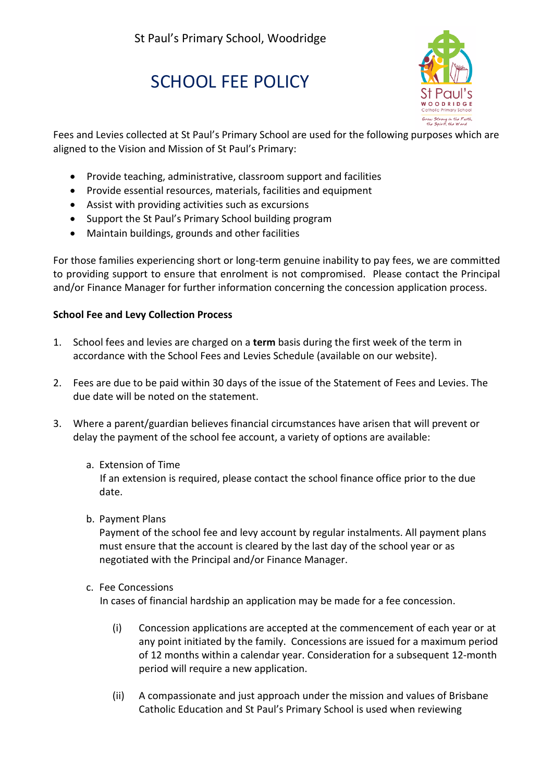# SCHOOL FFF POLICY



Fees and Levies collected at St Paul's Primary School are used for the following purposes which are aligned to the Vision and Mission of St Paul's Primary:

- Provide teaching, administrative, classroom support and facilities
- Provide essential resources, materials, facilities and equipment
- Assist with providing activities such as excursions
- Support the St Paul's Primary School building program
- Maintain buildings, grounds and other facilities

For those families experiencing short or long-term genuine inability to pay fees, we are committed to providing support to ensure that enrolment is not compromised. Please contact the Principal and/or Finance Manager for further information concerning the concession application process.

## **School Fee and Levy Collection Process**

- 1. School fees and levies are charged on a **term** basis during the first week of the term in accordance with the School Fees and Levies Schedule (available on our website).
- 2. Fees are due to be paid within 30 days of the issue of the Statement of Fees and Levies. The due date will be noted on the statement.
- 3. Where a parent/guardian believes financial circumstances have arisen that will prevent or delay the payment of the school fee account, a variety of options are available:
	- a. Extension of Time

 If an extension is required, please contact the school finance office prior to the due date.

b. Payment Plans

Payment of the school fee and levy account by regular instalments. All payment plans must ensure that the account is cleared by the last day of the school year or as negotiated with the Principal and/or Finance Manager.

c. Fee Concessions

In cases of financial hardship an application may be made for a fee concession.

- (i) Concession applications are accepted at the commencement of each year or at any point initiated by the family. Concessions are issued for a maximum period of 12 months within a calendar year. Consideration for a subsequent 12-month period will require a new application.
- (ii) A compassionate and just approach under the mission and values of Brisbane Catholic Education and St Paul's Primary School is used when reviewing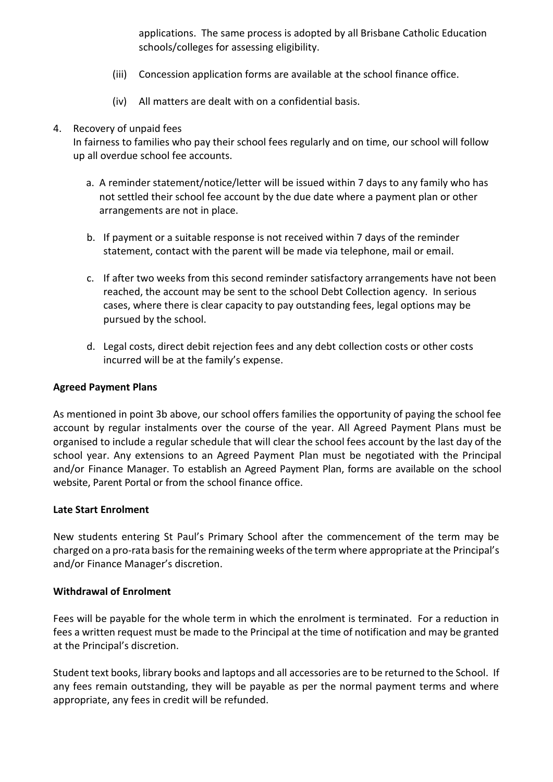applications. The same process is adopted by all Brisbane Catholic Education schools/colleges for assessing eligibility.

- (iii) Concession application forms are available at the school finance office.
- (iv) All matters are dealt with on a confidential basis.

### 4. Recovery of unpaid fees

In fairness to families who pay their school fees regularly and on time, our school will follow up all overdue school fee accounts.

- a. A reminder statement/notice/letter will be issued within 7 days to any family who has not settled their school fee account by the due date where a payment plan or other arrangements are not in place.
- b. If payment or a suitable response is not received within 7 days of the reminder statement, contact with the parent will be made via telephone, mail or email.
- c. If after two weeks from this second reminder satisfactory arrangements have not been reached, the account may be sent to the school Debt Collection agency. In serious cases, where there is clear capacity to pay outstanding fees, legal options may be pursued by the school.
- d. Legal costs, direct debit rejection fees and any debt collection costs or other costs incurred will be at the family's expense.

#### **Agreed Payment Plans**

As mentioned in point 3b above, our school offers families the opportunity of paying the school fee account by regular instalments over the course of the year. All Agreed Payment Plans must be organised to include a regular schedule that will clear the school fees account by the last day of the school year. Any extensions to an Agreed Payment Plan must be negotiated with the Principal and/or Finance Manager. To establish an Agreed Payment Plan, forms are available on the school website, Parent Portal or from the school finance office.

#### **Late Start Enrolment**

New students entering St Paul's Primary School after the commencement of the term may be charged on a pro-rata basis for the remaining weeks of the term where appropriate at the Principal's and/or Finance Manager's discretion.

#### **Withdrawal of Enrolment**

Fees will be payable for the whole term in which the enrolment is terminated. For a reduction in fees a written request must be made to the Principal at the time of notification and may be granted at the Principal's discretion.

Student text books, library books and laptops and all accessories are to be returned to the School. If any fees remain outstanding, they will be payable as per the normal payment terms and where appropriate, any fees in credit will be refunded.